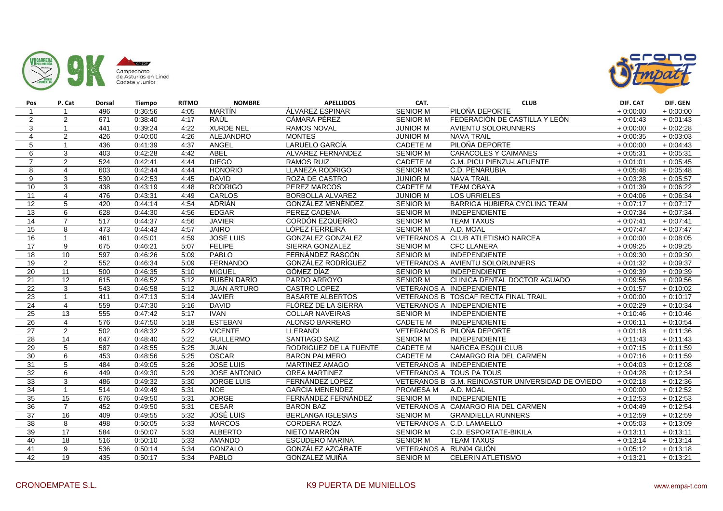



| Pos             | P. Cat          | Dorsal           | Tiempo  | <b>RITMO</b> | <b>NOMBRE</b>       | <b>APELLIDOS</b>         | CAT.                    | <b>CLUB</b>                                       | DIF. CAT   | DIF. GEN   |
|-----------------|-----------------|------------------|---------|--------------|---------------------|--------------------------|-------------------------|---------------------------------------------------|------------|------------|
|                 | $\overline{1}$  | 496              | 0:36:56 | 4:05         | MARTÍN              | ÁLVAREZ ESPINAR          | <b>SENIOR M</b>         | PILOÑA DEPORTE                                    | $+0.00:00$ | $+0.00:00$ |
| $\overline{2}$  | 2               | 671              | 0:38:40 | 4:17         | RAÚL                | CÁMARA PÉREZ             | <b>SENIOR M</b>         | FEDERACIÓN DE CASTILLA Y LEÓN                     | $+0.01:43$ | $+0.01:43$ |
| 3               | $\overline{1}$  | 441              | 0:39:24 | 4:22         | <b>XURDE NEL</b>    | RAMOS NOVAL              | <b>JUNIOR M</b>         | AVIENTU SOLORUNNERS                               | $+0:00:00$ | $+0.02:28$ |
| $\overline{4}$  | 2               | 426              | 0:40:00 | 4:26         | <b>ALEJANDRO</b>    | <b>MONTES</b>            | <b>JUNIOR M</b>         | <b>NAVA TRAIL</b>                                 | $+0.00:35$ | $+0.03:03$ |
| 5               | $\overline{1}$  | 436              | 0:41:39 | 4:37         | ANGEL               | LARUELO GARCÍA           | <b>CADETE M</b>         | PILOÑA DEPORTE                                    | $+0.00:00$ | $+0.04:43$ |
| 6               | 3               | 403              | 0:42:28 | 4:42         | ABEL                | ALVAREZ FERNANDEZ        | <b>SENIOR M</b>         | <b>CARACOLES Y CAIMANES</b>                       | $+0.05:31$ | $+0.05:31$ |
| $\overline{7}$  | 2               | 524              | 0:42:41 | 4:44         | <b>DIEGO</b>        | <b>RAMOS RUIZ</b>        | <b>CADETE M</b>         | G.M. PICU PIENZU-LAFUENTE                         | $+0:01:01$ | $+0.05:45$ |
| 8               | $\overline{4}$  | 603              | 0:42:44 | 4:44         | <b>HONORIO</b>      | <b>LLANEZA RODRIGO</b>   | <b>SENIOR M</b>         | C.D. PEÑARUBIA                                    | $+0.05:48$ | $+0.05:48$ |
| 9               | 3               | 530              | 0:42:53 | 4:45         | <b>DAVID</b>        | ROZA DE CASTRO           | <b>JUNIOR M</b>         | <b>NAVA TRAIL</b>                                 | $+0.03:28$ | $+0.05:57$ |
| 10              | 3               | 438              | 0:43:19 | 4:48         | <b>RODRIGO</b>      | PEREZ MARCOS             | <b>CADETE M</b>         | <b>TEAM OBAYA</b>                                 | $+0.01:39$ | $+0.06:22$ |
| 11              | $\overline{4}$  | 476              | 0:43:31 | 4:49         | <b>CARLOS</b>       | BORBOLLA ALVAREZ         | <b>JUNIOR M</b>         | <b>LOS URRIELES</b>                               | $+0.04:06$ | $+0.06:34$ |
| $\overline{12}$ | 5               | 420              | 0:44:14 | 4:54         | ADRIÁN              | GONZÁLEZ MENÉNDEZ        | <b>SENIOR M</b>         | BARRIGA HUBIERA CYCLING TEAM                      | $+0:07:17$ | $+0:07:17$ |
| 13              | 6               | 628              | 0:44:30 | 4:56         | <b>EDGAR</b>        | PEREZ CADENA             | <b>SENIOR M</b>         | <b>INDEPENDIENTE</b>                              | $+0.07:34$ | $+0.07:34$ |
| 14              | $\overline{7}$  | $\overline{517}$ | 0:44:37 | 4:56         | <b>JAVIER</b>       | CORDÓN EZQUERRO          | <b>SENIOR M</b>         | <b>TEAM TAXUS</b>                                 | $+0.07:41$ | $+0.07:41$ |
| 15              | 8               | 473              | 0:44:43 | 4:57         | <b>JAIRO</b>        | LÓPEZ FERREIRA           | <b>SENIOR M</b>         | A.D. MOAL                                         | $+0.07:47$ | $+0:07:47$ |
| 16              | $\overline{1}$  | 461              | 0.45.01 | 4:59         | <b>JOSE LUIS</b>    | <b>GONZALEZ GONZALEZ</b> |                         | VETERANOS A CLUB ATLETISMO NARCEA                 | $+0:00:00$ | $+0.08:05$ |
| 17              | 9               | 675              | 0.46:21 | 5:07         | <b>FELIPE</b>       | SIERRA GONZALEZ          | <b>SENIOR M</b>         | <b>CFC LLANERA</b>                                | $+0.09:25$ | $+0.09:25$ |
| 18              | 10              | 597              | 0:46:26 | 5:09         | PABLO               | FERNÁNDEZ RASCÓN         | <b>SENIOR M</b>         | <b>INDEPENDIENTE</b>                              | $+0.09:30$ | $+0.09:30$ |
| 19              | 2               | 552              | 0:46:34 | 5:09         | <b>FERNANDO</b>     | GONZÁLEZ RODRÍGUEZ       |                         | VETERANOS A AVIENTU SOLORUNNERS                   | $+0.01:32$ | $+0.09:37$ |
| 20              | 11              | 500              | 0:46:35 | 5:10         | <b>MIGUEL</b>       | GÓMEZ DÍAZ               | <b>SENIOR M</b>         | INDEPENDIENTE                                     | $+0.09:39$ | $+0.09:39$ |
| 21              | 12              | 615              | 0:46:52 | 5:12         | RUBÉN DARÍO         | PARDO ARROYO             | <b>SENIOR M</b>         | CLINICA DENTAL DOCTOR AGUADO                      | $+0.09:56$ | $+0.09:56$ |
| 22              | 3               | 543              | 0:46:58 | 5:12         | <b>JUAN ARTURO</b>  | CASTRO LOPEZ             |                         | VETERANOS A INDEPENDIENTE                         | $+0.01:57$ | $+0:10:02$ |
| 23              | $\overline{1}$  | 411              | 0:47:13 | 5:14         | <b>JAVIER</b>       | <b>BASARTE ALBERTOS</b>  |                         | VETERANOS B TOSCAF RECTA FINAL TRAIL              | $+0:00:00$ | $+0:10:17$ |
| 24              | $\overline{4}$  | 559              | 0:47:30 | 5:16         | <b>DAVID</b>        | FLÓREZ DE LA SIERRA      |                         | VETERANOS A INDEPENDIENTE                         | $+0.02:29$ | $+0:10:34$ |
| 25              | 13              | 555              | 0:47:42 | 5:17         | <b>IVAN</b>         | <b>COLLAR NAVEIRAS</b>   | <b>SENIOR M</b>         | INDEPENDIENTE                                     | $+0.10:46$ | $+0.10:46$ |
| 26              | $\overline{4}$  | 576              | 0:47:50 | 5:18         | <b>ESTEBAN</b>      | ALONSO BARRERO           | <b>CADETE M</b>         | <b>INDEPENDIENTE</b>                              | $+0.06:11$ | $+0.10.54$ |
| 27              | $\overline{2}$  | 502              | 0:48:32 | 5:22         | <b>VICENTE</b>      | LLERANDI                 |                         | VETERANOS B PILOÑA DEPORTE                        | $+0.01:18$ | $+0:11:36$ |
| $\overline{28}$ | 14              | 647              | 0:48:40 | 5:22         | <b>GUILLERMO</b>    | <b>SANTIAGO SAIZ</b>     | <b>SENIOR M</b>         | <b>INDEPENDIENTE</b>                              | $+0.11:43$ | $+0:11:43$ |
| 29              | 5               | 587              | 0:48:55 | 5:25         | <b>JUAN</b>         | RODRIGUEZ DE LA FUENTE   | <b>CADETE M</b>         | <b>NARCEA ESQUI CLUB</b>                          | $+0.07:15$ | $+0:11:59$ |
| 30              | 6               | 453              | 0:48:56 | 5:25         | <b>OSCAR</b>        | <b>BARON PALMERO</b>     | <b>CADETE M</b>         | CAMARGO RIA DEL CARMEN                            | $+0.07:16$ | $+0.11:59$ |
| 31              | $\overline{5}$  | 484              | 0:49:05 | 5:26         | <b>JOSE LUIS</b>    | MARTINEZ AMAGO           |                         | VETERANOS A INDEPENDIENTE                         | $+0.04:03$ | $+0:12:08$ |
| 32              | 6               | 449              | 0:49:30 | 5:29         | <b>JOSE ANTONIO</b> | <b>OREA MARTINEZ</b>     |                         | VETERANOS A TOUS PA TOUS                          | $+0.04:28$ | $+0:12:34$ |
| 33              | 3               | 486              | 0:49:32 | 5:30         | <b>JORGE LUIS</b>   | FERNÁNDEZ LOPEZ          |                         | VETERANOS B G.M. REINOASTUR UNIVERSIDAD DE OVIEDO | $+0.02:18$ | $+0:12:36$ |
| 34              | $\overline{1}$  | $\overline{514}$ | 0:49:49 | 5:31         | <b>NOE</b>          | <b>GARCIA MENENDEZ</b>   | PROMESA M               | A.D. MOAL                                         | $+0.00:00$ | $+0:12:52$ |
| 35              | 15              | 676              | 0:49:50 | 5:31         | <b>JORGE</b>        | FERNÁNDEZ FERNÁNDEZ      | <b>SENIOR M</b>         | <b>INDEPENDIENTE</b>                              | $+0.12:53$ | $+0:12:53$ |
| 36              | $\overline{7}$  | 452              | 0:49:50 | 5:31         | <b>CESAR</b>        | <b>BARON BAZ</b>         |                         | VETERANOS A CAMARGO RIA DEL CARMEN                | $+0.04:49$ | $+0:12:54$ |
| 37              | 16              | 409              | 0:49:55 | 5:32         | JOSÉ LUIS           | <b>BERLANGA IGLESIAS</b> | <b>SENIOR M</b>         | <b>GRANDIELLA RUNNERS</b>                         | $+0.12:59$ | $+0.12:59$ |
| 38              | 8               | 498              | 0:50:05 | 5:33         | <b>MARCOS</b>       | <b>CORDERA ROZA</b>      |                         | VETERANOS A C.D. LAMAELLO                         | $+0.05:03$ | $+0.13.09$ |
| 39              | $\overline{17}$ | 584              | 0:50:07 | 5:33         | <b>ALBERTO</b>      | NIETO MARRÓN             | <b>SENIOR M</b>         | C.D. ESPORTATE-BIKILA                             | $+0:13:11$ | $+0:13:11$ |
| 40              | $\overline{18}$ | 516              | 0:50:10 | 5:33         | <b>AMANDO</b>       | <b>ESCUDERO MARINA</b>   | <b>SENIOR M</b>         | <b>TEAM TAXUS</b>                                 | $+0.13:14$ | $+0:13:14$ |
| 41              | 9               | 536              | 0:50:14 | 5:34         | <b>GONZALO</b>      | GONZÁLEZ AZCÁRATE        | VETERANOS A RUN04 GIJÓN |                                                   | $+0.05:12$ | $+0:13:18$ |
| 42              | $\overline{19}$ | 435              | 0:50:17 | 5:34         | PABLO               | <b>GONZALEZ MUIÑA</b>    | <b>SENIOR M</b>         | <b>CELERIN ATLETISMO</b>                          | $+0.13:21$ | $+0.13:21$ |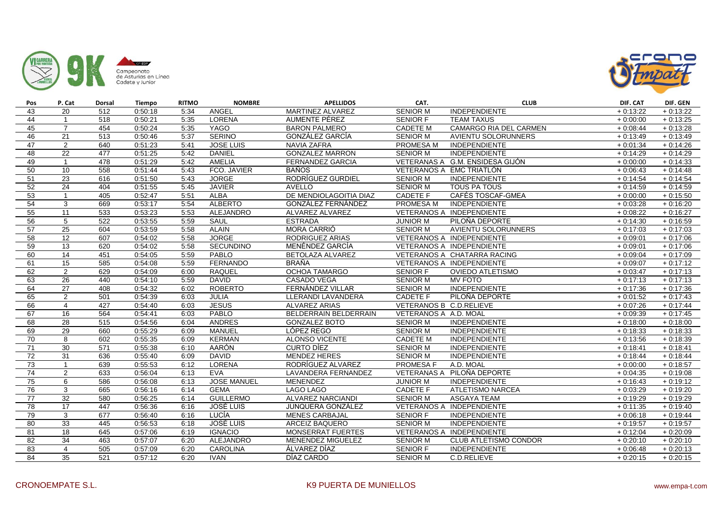



| Pos | P. Cat          | Dorsal | <b>Tiempo</b> | <b>RITMO</b> | <b>NOMBRE</b>      | <b>APELLIDOS</b>         | CAT.                    | <b>CLUB</b>                     | DIF. CAT   | DIF. GEN   |
|-----|-----------------|--------|---------------|--------------|--------------------|--------------------------|-------------------------|---------------------------------|------------|------------|
| 43  | 20              | 512    | 0:50:18       | 5:34         | ANGEL              | MARTINEZ ALVAREZ         | <b>SENIOR M</b>         | <b>INDEPENDIENTE</b>            | $+0.13:22$ | $+0:13:22$ |
| 44  | $\overline{1}$  | 518    | 0:50:21       | 5:35         | LORENA             | AUMENTE PÉREZ            | SENIOR F                | <b>TEAM TAXUS</b>               | $+0.00:00$ | $+0:13:25$ |
| 45  | $\overline{7}$  | 454    | 0:50:24       | 5:35         | <b>YAGO</b>        | <b>BARON PALMERO</b>     | <b>CADETE M</b>         | CAMARGO RIA DEL CARMEN          | $+0.08:44$ | $+0:13:28$ |
| 46  | 21              | 513    | 0:50:46       | 5:37         | <b>SERINO</b>      | <b>GONZÁLEZ GARCÍA</b>   | <b>SENIOR M</b>         | <b>AVIENTU SOLORUNNERS</b>      | $+0.13:49$ | $+0:13:49$ |
| 47  | $\overline{2}$  | 640    | 0:51:23       | 5:41         | <b>JOSE LUIS</b>   | <b>NAVIA ZAFRA</b>       | PROMESA M               | <b>INDEPENDIENTE</b>            | $+0.01:34$ | $+0:14:26$ |
| 48  | 22              | 477    | 0:51:25       | 5:42         | <b>DANIEL</b>      | <b>GONZALEZ MARRON</b>   | <b>SENIOR M</b>         | <b>INDEPENDIENTE</b>            | $+0.14:29$ | $+0:14:29$ |
| 49  | $\overline{1}$  | 478    | 0:51:29       | 5:42         | <b>AMELIA</b>      | <b>FERNANDEZ GARCIA</b>  |                         | VETERANAS A G.M. ENSIDESA GIJÓN | $+0:00:00$ | $+0:14:33$ |
| 50  | 10              | 558    | 0:51:44       | 5:43         | FCO. JAVIER        | <b>BAÑOS</b>             |                         | VETERANOS A EMC TRIATLÓN        | $+0.06:43$ | $+0.14:48$ |
| 51  | 23              | 616    | 0:51:50       | 5:43         | <b>JORGE</b>       | RODRÍGUEZ GURDIEL        | <b>SENIOR M</b>         | <b>INDEPENDIENTE</b>            | $+0.14.54$ | $+0:14:54$ |
| 52  | $\overline{24}$ | 404    | 0:51:55       | 5:45         | <b>JAVIER</b>      | <b>AVELLO</b>            | <b>SENIOR M</b>         | TOUS PA TOUS                    | $+0.14:59$ | $+0:14:59$ |
| 53  | $\overline{1}$  | 405    | 0:52:47       | 5:51         | <b>ALBA</b>        | DE MENDIOLAGOITIA DIAZ   | <b>CADETE F</b>         | CAFÉS TOSCAF-GMEA               | $+0:00:00$ | $+0:15:50$ |
| 54  | 3               | 669    | 0:53:17       | 5:54         | <b>ALBERTO</b>     | GONZÁLEZ FERNÁNDEZ       | <b>PROMESA M</b>        | <b>INDEPENDIENTE</b>            | $+0.03:28$ | $+0.16:20$ |
| 55  | 11              | 533    | 0:53:23       | 5:53         | <b>ALEJANDRO</b>   | ALVAREZ ALVAREZ          |                         | VETERANOS A INDEPENDIENTE       | $+0.08:22$ | $+0.16:27$ |
| 56  | 5               | 522    | 0:53:55       | 5:59         | <b>SAUL</b>        | <b>ESTRADA</b>           | <b>JUNIOR M</b>         | PILOÑA DEPORTE                  | $+0:14:30$ | $+0.16:59$ |
| 57  | 25              | 604    | 0:53:59       | 5:58         | <b>ALAIN</b>       | MORA CARRIÓ              | <b>SENIOR M</b>         | <b>AVIENTU SOLORUNNERS</b>      | $+0:17:03$ | $+0:17:03$ |
| 58  | $\overline{12}$ | 607    | 0:54:02       | 5:58         | <b>JORGE</b>       | RODRIGUEZ ARIAS          |                         | VETERANOS A INDEPENDIENTE       | $+0.09:01$ | $+0:17:06$ |
| 59  | 13              | 620    | 0:54:02       | 5:58         | <b>SECUNDINO</b>   | MENÉNDEZ GARCÍA          |                         | VETERANOS A INDEPENDIENTE       | $+0.09:01$ | $+0:17:06$ |
| 60  | 14              | 451    | 0:54:05       | 5:59         | PABLO              | BETOLAZA ALVAREZ         |                         | VETERANOS A CHATARRA RACING     | $+0.09:04$ | $+0:17:09$ |
| 61  | 15              | 585    | 0:54:08       | 5:59         | <b>FERNANDO</b>    | <b>BRAÑA</b>             |                         | VETERANOS A INDEPENDIENTE       | $+0.09:07$ | $+0:17:12$ |
| 62  | 2               | 629    | 0:54:09       | 6:00         | <b>RAQUEL</b>      | <b>OCHOA TAMARGO</b>     | <b>SENIOR F</b>         | <b>OVIEDO ATLETISMO</b>         | $+0.03:47$ | $+0:17:13$ |
| 63  | 26              | 440    | 0:54:10       | 5:59         | <b>DAVID</b>       | CASADO VEGA              | SENIOR M                | <b>MV FOTO</b>                  | $+0.17:13$ | $+0:17:13$ |
| 64  | 27              | 408    | 0:54:32       | 6:02         | <b>ROBERTO</b>     | FERNÁNDEZ VILLAR         | SENIOR M                | <b>INDEPENDIENTE</b>            | $+0:17:36$ | $+0:17:36$ |
| 65  | $\overline{2}$  | 501    | 0:54:39       | 6:03         | <b>JULIA</b>       | LLERANDI LAVANDERA       | <b>CADETE F</b>         | PILOÑA DEPORTE                  | $+0:01:52$ | $+0:17:43$ |
| 66  | $\overline{4}$  | 427    | 0:54:40       | 6:03         | <b>JESUS</b>       | <b>ALVAREZ ARIAS</b>     | VETERANOS B C.D.RELIEVE |                                 | $+0.07:26$ | $+0:17:44$ |
| 67  | 16              | 564    | 0:54:41       | 6:03         | <b>PABLO</b>       | BELDERRAIN BELDERRAIN    | VETERANOS A A.D. MOAL   |                                 | $+0.09:39$ | $+0:17:45$ |
| 68  | 28              | 515    | 0:54:56       | 6:04         | <b>ANDRES</b>      | <b>GONZALEZ BOTO</b>     | <b>SENIOR M</b>         | <b>INDEPENDIENTE</b>            | $+0.18:00$ | $+0.18:00$ |
| 69  | 29              | 660    | 0:55:29       | 6:09         | <b>MANUEL</b>      | LÓPEZ REGO               | <b>SENIOR M</b>         | INDEPENDIENTE                   | $+0.18:33$ | $+0.18:33$ |
| 70  | 8               | 602    | 0:55:35       | 6:09         | <b>KERMAN</b>      | <b>ALONSO VICENTE</b>    | <b>CADETE M</b>         | <b>INDEPENDIENTE</b>            | $+0:13:56$ | $+0.18:39$ |
| 71  | 30              | 571    | 0:55:38       | 6:10         | <b>AARÓN</b>       | <b>CURTO DÍEZ</b>        | <b>SENIOR M</b>         | INDEPENDIENTE                   | $+0.18:41$ | $+0.18:41$ |
| 72  | 31              | 636    | 0:55:40       | 6:09         | <b>DAVID</b>       | <b>MENDEZ HERES</b>      | <b>SENIOR M</b>         | <b>INDEPENDIENTE</b>            | $+0.18:44$ | $+0.18:44$ |
| 73  | $\overline{1}$  | 639    | 0:55:53       | 6:12         | <b>LORENA</b>      | RODRÍGUEZ ALVAREZ        | <b>PROMESA F</b>        | A.D. MOAL                       | $+0:00:00$ | $+0:18:57$ |
| 74  | 2               | 633    | 0:56:04       | 6:13         | <b>EVA</b>         | LAVANDERA FERNANDEZ      |                         | VETERANAS A PILOÑA DEPORTE      | $+0.04:35$ | $+0.19:08$ |
| 75  | 6               | 586    | 0:56:08       | 6:13         | <b>JOSE MANUEL</b> | MENENDEZ                 | <b>JUNIOR M</b>         | <b>INDEPENDIENTE</b>            | $+0.16:43$ | $+0.19:12$ |
| 76  | 3               | 665    | 0:56:16       | 6:14         | <b>GEMA</b>        | LAGO LAGO                | <b>CADETE F</b>         | ATLETISMO NARCEA                | $+0.03:29$ | $+0.19:20$ |
| 77  | 32              | 580    | 0:56:25       | 6:14         | <b>GUILLERMO</b>   | <b>ALVAREZ NARCIANDI</b> | <b>SENIOR M</b>         | <b>ASGAYA TEAM</b>              | $+0.19:29$ | $+0.19:29$ |
| 78  | $\overline{17}$ | 447    | 0:56:36       | 6:16         | <b>JOSÉ LUIS</b>   | <b>JUNQUERA GONZÁLEZ</b> |                         | VETERANOS A INDEPENDIENTE       | $+0.11:35$ | $+0.19:40$ |
| 79  | 3               | 677    | 0:56:40       | 6:16         | LUCÍA              | <b>MENES CARBAJAL</b>    | SENIOR F                | <b>INDEPENDIENTE</b>            | $+0.06:18$ | $+0.19:44$ |
| 80  | 33              | 445    | 0:56:53       | 6:18         | <b>JOSÉ LUIS</b>   | ARCEIZ BAQUERO           | <b>SENIOR M</b>         | <b>INDEPENDIENTE</b>            | $+0:19:57$ | $+0:19:57$ |
| 81  | 18              | 645    | 0:57:06       | 6:19         | <b>IGNACIO</b>     | MONSERRAT FUERTES        |                         | VETERANOS A INDEPENDIENTE       | $+0.12:04$ | $+0.20:09$ |
| 82  | 34              | 463    | 0:57:07       | 6:20         | <b>ALEJANDRO</b>   | <b>MENENDEZ MIGUELEZ</b> | <b>SENIOR M</b>         | <b>CLUB ATLETISMO CONDOR</b>    | $+0:20:10$ | $+0:20:10$ |
| 83  | $\overline{4}$  | 505    | 0:57:09       | 6:20         | <b>CAROLINA</b>    | ÁLVAREZ DÍAZ             | SENIOR F                | <b>INDEPENDIENTE</b>            | $+0.06:48$ | $+0.20:13$ |
| 84  | $\overline{35}$ | 521    | 0:57:12       | 6:20         | <b>IVAN</b>        | DÍAZ CARDO               | <b>SENIOR M</b>         | C.D.RELIEVE                     | $+0.20:15$ | $+0:20:15$ |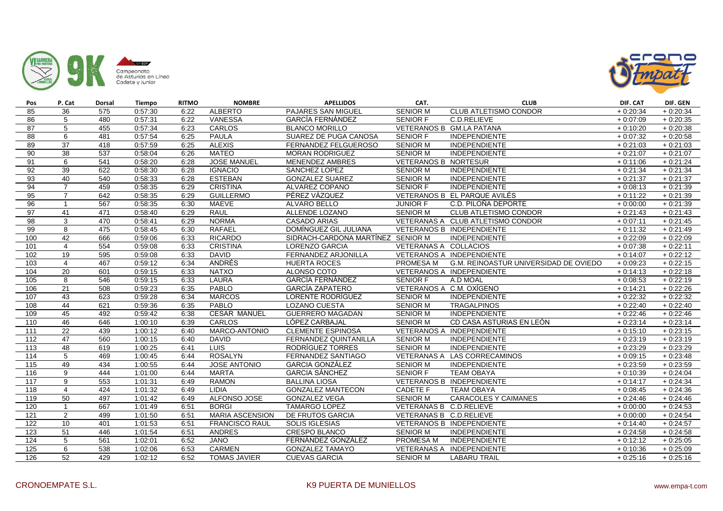



| Pos               | P. Cat          | <b>Dorsal</b> | Tiempo  | <b>RITMO</b> | <b>NOMBRE</b>          | <b>APELLIDOS</b>                  | CAT.                        | <b>CLUB</b>                           | DIF. CAT   | DIF. GEN   |
|-------------------|-----------------|---------------|---------|--------------|------------------------|-----------------------------------|-----------------------------|---------------------------------------|------------|------------|
| 85                | 36              | 575           | 0:57:30 | 6:22         | <b>ALBERTO</b>         | PAJARES SAN MIGUEL                | <b>SENIOR M</b>             | <b>CLUB ATLETISMO CONDOR</b>          | $+0.20:34$ | $+0.20.34$ |
| 86                | 5               | 480           | 0:57:31 | 6:22         | <b>VANESSA</b>         | GARCÍA FERNÁNDEZ                  | <b>SENIOR F</b>             | C.D.RELIEVE                           | $+0.07:09$ | $+0.20.35$ |
| 87                | 5               | 455           | 0:57:34 | 6:23         | <b>CARLOS</b>          | <b>BLANCO MORILLO</b>             |                             | VETERANOS B GM.LA PATANA              | $+0:10:20$ | $+0.20.38$ |
| 88                | 6               | 481           | 0:57:54 | 6:25         | <b>PAULA</b>           | SUAREZ DE PUGA CANOSA             | <b>SENIOR F</b>             | <b>INDEPENDIENTE</b>                  | $+0.07:32$ | $+0.20.58$ |
| 89                | 37              | 418           | 0:57:59 | 6:25         | <b>ALEXIS</b>          | FERNANDEZ FELGUEROSO              | <b>SENIOR M</b>             | <b>INDEPENDIENTE</b>                  | $+0.21:03$ | $+0.21:03$ |
| 90                | 38              | 537           | 0:58:04 | 6:26         | <b>MATEO</b>           | <b>MORAN RODRIGUEZ</b>            | <b>SENIOR M</b>             | INDEPENDIENTE                         | $+0.21:07$ | $+0:21:07$ |
| 91                | 6               | 541           | 0:58:20 | 6:28         | <b>JOSE MANUEL</b>     | <b>MENENDEZ AMBRES</b>            | <b>VETERANOS B NORTESUR</b> |                                       | $+0.11:06$ | $+0:21:24$ |
| 92                | 39              | 622           | 0:58:30 | 6:28         | <b>IGNACIO</b>         | SANCHEZ LOPEZ                     | <b>SENIOR M</b>             | <b>INDEPENDIENTE</b>                  | $+0.21:34$ | $+0:21:34$ |
| 93                | 40              | 540           | 0:58:33 | 6:28         | <b>ESTEBAN</b>         | <b>GONZALEZ SUAREZ</b>            | <b>SENIOR M</b>             | INDEPENDIENTE                         | $+0.21:37$ | $+0:21:37$ |
| 94                | $\overline{7}$  | 459           | 0:58:35 | 6:29         | <b>CRISTINA</b>        | ALVAREZ COPANO                    | <b>SENIOR F</b>             | INDEPENDIENTE                         | $+0.08:13$ | $+0:21:39$ |
| 95                | $\overline{7}$  | 642           | 0:58:35 | 6:29         | <b>GUILLERMO</b>       | PÉREZ VÁZQUEZ                     |                             | VETERANOS B EL PARQUE AVILÉS          | $+0:11:22$ | $+0:21:39$ |
| 96                | $\overline{1}$  | 567           | 0:58:35 | 6:30         | <b>MAEVE</b>           | <b>ALVARO BELLO</b>               | <b>JUNIOR F</b>             | C.D. PILOÑA DEPORTE                   | $+0.00:00$ | $+0:21:39$ |
| 97                | 41              | 471           | 0:58:40 | 6:29         | <b>RAUL</b>            | ALLENDE LOZANO                    | <b>SENIOR M</b>             | <b>CLUB ATLETISMO CONDOR</b>          | $+0.21:43$ | $+0:21:43$ |
| 98                | 3               | 470           | 0:58:41 | 6:29         | <b>NORMA</b>           | CASADO ARIAS                      |                             | VETERANAS A CLUB ATLETISMO CONDOR     | $+0:07:11$ | $+0:21:45$ |
| 99                | 8               | 475           | 0:58:45 | 6:30         | <b>RAFAEL</b>          | DOMÍNGUEZ GIL JULIANA             |                             | VETERANOS B INDEPENDIENTE             | $+0.11:32$ | $+0:21:49$ |
| 100               | 42              | 666           | 0:59:06 | 6:33         | <b>RICARDO</b>         | SIDRACH-CARDONA MARTÍNEZ SENIOR M |                             | INDEPENDIENTE                         | $+0.22:09$ | $+0.22:09$ |
| 101               | $\overline{4}$  | 554           | 0:59:08 | 6:33         | <b>CRISTINA</b>        | LORENZO GARCIA                    | VETERANAS A COLLACIOS       |                                       | $+0.07:38$ | $+0:22:11$ |
| 102               | $\overline{19}$ | 595           | 0:59:08 | 6:33         | <b>DAVID</b>           | FERNANDEZ ARJONILLA               |                             | VETERANOS A INDEPENDIENTE             | $+0.14:07$ | $+0:22:12$ |
| 103               | $\overline{4}$  | 467           | 0:59:12 | 6:34         | ANDRÉS                 | <b>HUERTA ROCES</b>               | PROMESA M                   | G.M. REINOASTUR UNIVERSIDAD DE OVIEDO | $+0.09:23$ | $+0:22:15$ |
| 104               | 20              | 601           | 0:59:15 | 6:33         | <b>NATXO</b>           | ALONSO COTO                       |                             | VETERANOS A INDEPENDIENTE             | $+0:14:13$ | $+0:22:18$ |
| 105               | 8               | 546           | 0:59:15 | 6:33         | LAURA                  | <b>GARCÍA FERNÁNDEZ</b>           | SENIOR F                    | A.D MOAL                              | $+0.08:53$ | $+0:22:19$ |
| 106               | 21              | 508           | 0:59:23 | 6:35         | PABLO                  | <b>GARCÍA ZAPATERO</b>            | VETERANOS A C.M. OXÍGENO    |                                       | $+0:14:21$ | $+0:22:26$ |
| 107               | 43              | 623           | 0:59:28 | 6:34         | <b>MARCOS</b>          | LORENTE RODRÍGUEZ                 | <b>SENIOR M</b>             | <b>INDEPENDIENTE</b>                  | $+0:22:32$ | $+0:22:32$ |
| 108               | 44              | 621           | 0:59:36 | 6:35         | <b>PABLO</b>           | <b>LOZANO CUESTA</b>              | <b>SENIOR M</b>             | <b>TRAGALPINOS</b>                    | $+0.22:40$ | $+0:22:40$ |
| 109               | 45              | 492           | 0:59:42 | 6:38         | <b>CESAR MANUEL</b>    | GUERRERO MAGADAN                  | SENIOR M                    | <b>INDEPENDIENTE</b>                  | $+0.22:46$ | $+0:22:46$ |
| 110               | 46              | 646           | 1:00:10 | 6:39         | <b>CARLOS</b>          | LÓPEZ CARBAJAL                    | <b>SENIOR M</b>             | CD CASA ASTURIAS EN LEÓN              | $+0.23:14$ | $+0.23:14$ |
| 111               | $\overline{22}$ | 439           | 1:00:12 | 6:40         | MARCO-ANTONIO          | <b>CLEMENTE ESPINOSA</b>          |                             | VETERANOS A INDEPENDIENTE             | $+0.15:10$ | $+0:23:15$ |
| 112               | 47              | 560           | 1:00:15 | 6:40         | <b>DAVID</b>           | <b>FERNANDEZ QUINTANILLA</b>      | <b>SENIOR M</b>             | <b>INDEPENDIENTE</b>                  | $+0.23:19$ | $+0:23:19$ |
| 113               | 48              | 619           | 1:00:25 | 6:41         | <b>LUIS</b>            | RODRÍGUEZ TORRES                  | <b>SENIOR M</b>             | INDEPENDIENTE                         | $+0.23:29$ | $+0.23:29$ |
| 114               | 5               | 469           | 1:00:45 | 6:44         | <b>ROSALYN</b>         | FERNANDEZ SANTIAGO                |                             | VETERANAS A LAS CORRECAMINOS          | $+0.09:15$ | $+0.23:48$ |
| $\frac{115}{115}$ | 49              | 434           | 1:00:55 | 6:44         | <b>JOSE ANTONIO</b>    | <b>GARCIA GONZÁLEZ</b>            | <b>SENIOR M</b>             | <b>INDEPENDIENTE</b>                  | $+0.23:59$ | $+0:23:59$ |
| 116               | 9               | 444           | 1:01:00 | 6:44         | <b>MARTA</b>           | <b>GARCIA SÁNCHEZ</b>             | <b>SENIOR F</b>             | <b>TEAM OBAYA</b>                     | $+0.10.39$ | $+0.24:04$ |
| 117               | 9               | 553           | 1:01:31 | 6:49         | <b>RAMON</b>           | <b>BALLINA LIOSA</b>              |                             | VETERANOS B INDEPENDIENTE             | $+0:14:17$ | $+0:24:34$ |
| 118               | $\overline{4}$  | 424           | 1:01:32 | 6:49         | <b>LIDIA</b>           | <b>GONZALEZ MANTECON</b>          | CADETE F                    | <b>TEAM OBAYA</b>                     | $+0.08:45$ | $+0.24.36$ |
| 119               | 50              | 497           | 1:01:42 | 6:49         | ALFONSO JOSE           | <b>GONZALEZ VEGA</b>              | <b>SENIOR M</b>             | <b>CARACOLES Y CAIMANES</b>           | $+0.24:46$ | $+0:24:46$ |
| 120               | $\overline{1}$  | 667           | 1:01:49 | 6:51         | <b>BORGI</b>           | <b>TAMARGO LOPEZ</b>              | VETERANAS B C.D.RELIEVE     |                                       | $+0.00:00$ | $+0:24:53$ |
| 121               | 2               | 499           | 1:01:50 | 6:51         | <b>MARIA ASCENSION</b> | DE FRUTOS GARCIA                  | VETERANAS B C.D.RELIEVE     |                                       | $+0.00:00$ | $+0.24:54$ |
| 122               | 10              | 401           | 1:01:53 | 6:51         | <b>FRANCISCO RAUL</b>  | <b>SOLIS IGLESIAS</b>             |                             | VETERANOS B INDEPENDIENTE             | $+0.14:40$ | $+0:24:57$ |
| 123               | 51              | 446           | 1:01:54 | 6:51         | ANDRES                 | CRESPO BLANCO                     | <b>SENIOR M</b>             | INDEPENDIENTE                         | $+0.24:58$ | $+0:24:58$ |
| 124               | $\overline{5}$  | 561           | 1:02:01 | 6:52         | <b>JANO</b>            | FERNÁNDEZ GONZÁLEZ                | PROMESA M                   | <b>INDEPENDIENTE</b>                  | $+0.12:12$ | $+0.25:05$ |
| 125               | 6               | 538           | 1:02:06 | 6:53         | <b>CARMEN</b>          | <b>GONZALEZ TAMAYO</b>            |                             | VETERANAS A INDEPENDIENTE             | $+0.10:36$ | $+0.25:09$ |
| 126               | $\overline{52}$ | 429           | 1:02:12 | 6:52         | <b>TOMAS JAVIER</b>    | <b>CUEVAS GARCIA</b>              | <b>SENIOR M</b>             | <b>LABARU TRAIL</b>                   | $+0.25:16$ | $+0:25:16$ |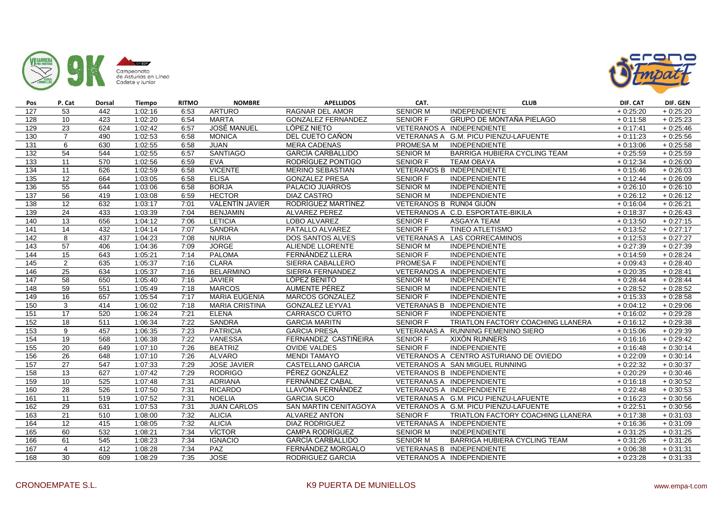



| Pos              | P. Cat           | Dorsal | <b>Tiempo</b> | <b>RITMO</b> | <b>NOMBRE</b>          | <b>APELLIDOS</b>             | CAT.                    | <b>CLUB</b>                            | DIF. CAT   | DIF. GEN   |
|------------------|------------------|--------|---------------|--------------|------------------------|------------------------------|-------------------------|----------------------------------------|------------|------------|
| 127              | 53               | 442    | 1:02:16       | 6:53         | <b>ARTURO</b>          | <b>RAGNAR DEL AMOR</b>       | <b>SENIOR M</b>         | <b>INDEPENDIENTE</b>                   | $+0.25:20$ | $+0.25:20$ |
| 128              | 10               | 423    | 1:02:20       | 6:54         | <b>MARTA</b>           | <b>GONZALEZ FERNANDEZ</b>    | SENIOR F                | GRUPO DE MONTAÑA PIELAGO               | $+0.11:58$ | $+0:25:23$ |
| 129              | $\overline{23}$  | 624    | 1:02:42       | 6:57         | <b>JOSÉ MANUEL</b>     | LÓPEZ NIETO                  |                         | VETERANOS A INDEPENDIENTE              | $+0:17:41$ | $+0.25:46$ |
| 130              | $\overline{7}$   | 490    | 1:02:53       | 6:58         | <b>MONICA</b>          | DEL CUETO CAÑON              |                         | VETERANAS A G.M. PICU PIENZU-LAFUENTE  | $+0.11:23$ | $+0.25:56$ |
| $\overline{131}$ | 6                | 630    | 1:02:55       | 6:58         | <b>JUAN</b>            | <b>MERA CADENAS</b>          | PROMESA M               | <b>INDEPENDIENTE</b>                   | $+0.13.06$ | $+0.25.58$ |
| 132              | 54               | 544    | 1:02:55       | 6:57         | SANTIAGO               | <b>GARCÍA CARBALLIDO</b>     | <b>SENIOR M</b>         | BARRIGA HUBIERA CYCLING TEAM           | $+0.25:59$ | $+0:25:59$ |
| 133              | $\overline{11}$  | 570    | 1:02:56       | 6:59         | <b>EVA</b>             | RODRÍGUEZ PONTIGO            | <b>SENIOR F</b>         | <b>TEAM OBAYA</b>                      | $+0:12:34$ | $+0.26:00$ |
| 134              | $\overline{11}$  | 626    | 1:02:59       | 6:58         | <b>VICENTE</b>         | <b>MERINO SEBASTIAN</b>      |                         | VETERANOS B INDEPENDIENTE              | $+0.15:46$ | $+0.26:03$ |
| $\overline{135}$ | 12               | 664    | 1:03:05       | 6:58         | <b>ELISA</b>           | <b>GONZALEZ PRESA</b>        | <b>SENIOR F</b>         | <b>INDEPENDIENTE</b>                   | $+0.12:44$ | $+0.26:09$ |
| 136              | 55               | 644    | 1:03:06       | 6:58         | <b>BORJA</b>           | PALACIO JUARROS              | <b>SENIOR M</b>         | INDEPENDIENTE                          | $+0.26:10$ | $+0.26:10$ |
| 137              | $\overline{56}$  | 419    | 1:03:08       | 6:59         | <b>HECTOR</b>          | <b>DIAZ CASTRO</b>           | <b>SENIOR M</b>         | <b>INDEPENDIENTE</b>                   | $+0.26:12$ | $+0:26:12$ |
| 138              | 12               | 632    | 1:03:17       | 7:01         | <b>VALENTÍN JAVIER</b> | RODRÍGUEZ MARTÍNEZ           | VETERANOS B RUN04 GIJÓN |                                        | $+0.16:04$ | $+0:26:21$ |
| 139              | $\overline{24}$  | 433    | 1:03:39       | 7:04         | <b>BENJAMIN</b>        | ALVAREZ PEREZ                |                         | VETERANOS A C.D. ESPORTATE-BIKILA      | $+0.18:37$ | $+0.26:43$ |
| 140              | 13               | 656    | 1:04:12       | 7:06         | <b>LETICIA</b>         | LOBO ALVAREZ                 | <b>SENIOR F</b>         | <b>ASGAYA TEAM</b>                     | $+0.13:50$ | $+0:27:15$ |
| 141              | $\overline{14}$  | 432    | 1:04:14       | 7:07         | <b>SANDRA</b>          | PATALLO ALVAREZ              | <b>SENIOR F</b>         | <b>TINEO ATLETISMO</b>                 | $+0:13:52$ | $+0:27:17$ |
| 142              | 8                | 437    | 1:04:23       | 7:08         | <b>NURIA</b>           | <b>DOS SANTOS ALVES</b>      |                         | VETERANAS A LAS CORRECAMINOS           | $+0.12:53$ | $+0:27:27$ |
| $\overline{143}$ | 57               | 406    | 1:04:36       | 7:09         | <b>JORGE</b>           | ALIENDE LLORENTE             | <b>SENIOR M</b>         | <b>INDEPENDIENTE</b>                   | $+0.27:39$ | $+0:27:39$ |
| 144              | $\overline{15}$  | 643    | 1:05:21       | 7:14         | PALOMA                 | FERNÁNDEZ LLERA              | <b>SENIOR F</b>         | <b>INDEPENDIENTE</b>                   | $+0.14:59$ | $+0:28:24$ |
| 145              | 2                | 635    | 1:05:37       | 7:16         | <b>CLARA</b>           | SIERRA CABALLERO             | PROMESA F               | <b>INDEPENDIENTE</b>                   | $+0.09:43$ | $+0.28:40$ |
| 146              | 25               | 634    | 1:05:37       | 7:16         | <b>BELARMINO</b>       | SIERRA FERNANDEZ             |                         | VETERANOS A INDEPENDIENTE              | $+0.20:35$ | $+0.28:41$ |
| 147              | 58               | 650    | 1:05:40       | 7:16         | <b>JAVIER</b>          | LÓPEZ BENITO                 | <b>SENIOR M</b>         | <b>INDEPENDIENTE</b>                   | $+0.28:44$ | $+0.28:44$ |
| 148              | 59               | 551    | 1:05:49       | 7:18         | <b>MARCOS</b>          | AUMENTE PÉREZ                | <b>SENIOR M</b>         | <b>INDEPENDIENTE</b>                   | $+0.28:52$ | $+0.28:52$ |
| 149              | 16               | 657    | 1:05:54       | 7:17         | <b>MARIA EUGENIA</b>   | <b>MARCOS GONZALEZ</b>       | <b>SENIOR F</b>         | INDEPENDIENTE                          | $+0:15:33$ | $+0:28:58$ |
| 150              | 3                | 414    | 1:06:02       | 7:18         | <b>MARIA CRISTINA</b>  | <b>GONZALEZ LEYVA1</b>       |                         | VETERANAS B INDEPENDIENTE              | $+0.04:12$ | $+0.29:06$ |
| 151              | 17               | 520    | 1:06:24       | 7:21         | <b>ELENA</b>           | CARRASCO CURTO               | SENIOR F                | <b>INDEPENDIENTE</b>                   | $+0.16:02$ | $+0.29:28$ |
| 152              | 18               | 511    | 1:06:34       | 7:22         | SANDRA                 | <b>GARCIA MARITN</b>         | SENIOR F                | TRIATLON FACTORY COACHING LLANERA      | $+0.16:12$ | $+0.29.38$ |
| 153              | $\boldsymbol{9}$ | 457    | 1:06:35       | 7:23         | <b>PATRICIA</b>        | <b>GARCIA PRESA</b>          |                         | VETERANAS A RUNNING FEMENINO SIERO     | $+0:15:06$ | $+0.29.39$ |
| 154              | $\overline{19}$  | 568    | 1:06:38       | 7:22         | <b>VANESSA</b>         | FERNANDEZ CASTIÑEIRA         | <b>SENIOR F</b>         | <b>XIXÓN RUNNERS</b>                   | $+0.16:16$ | $+0.29:42$ |
| 155              | 20               | 649    | 1:07:10       | 7:26         | <b>BEATRIZ</b>         | <b>OVIDE VALDES</b>          | <b>SENIOR F</b>         | <b>INDEPENDIENTE</b>                   | $+0.16:48$ | $+0:30:14$ |
| 156              | $\overline{26}$  | 648    | 1:07:10       | 7:26         | <b>ALVARO</b>          | <b>MENDI TAMAYO</b>          |                         | VETERANOS A CENTRO ASTURIANO DE OVIEDO | $+0.22:09$ | $+0:30:14$ |
| 157              | $\overline{27}$  | 547    | 1:07:33       | 7:29         | <b>JOSE JAVIER</b>     | <b>CASTELLANO GARCIA</b>     |                         | VETERANOS A SAN MIGUEL RUNNING         | $+0.22:32$ | $+0:30:37$ |
| 158              | $\overline{13}$  | 627    | 1:07:42       | 7:29         | <b>RODRIGO</b>         | PÉREZ GONZÁLEZ               |                         | VETERANOS B INDEPENDIENTE              | $+0.20:29$ | $+0.30:46$ |
| 159              | 10               | 525    | 1:07:48       | 7:31         | <b>ADRIANA</b>         | FERNÁNDEZ CABAL              |                         | VETERANAS A INDEPENDIENTE              | $+0.16:18$ | $+0.30:52$ |
| 160              | 28               | 526    | 1:07:50       | 7:31         | <b>RICARDO</b>         | LLAVONA FERNÁNDEZ            |                         | VETERANOS A INDEPENDIENTE              | $+0.22:48$ | $+0:30:53$ |
| 161              | $\overline{11}$  | 519    | 1:07:52       | 7:31         | <b>NOELIA</b>          | <b>GARCIA SUCO</b>           |                         | VETERANAS A G.M. PICU PIENZU-LAFUENTE  | $+0.16:23$ | $+0.30:56$ |
| 162              | 29               | 631    | 1:07:53       | 7:31         | <b>JUAN CARLOS</b>     | <b>SAN MARTIN CENITAGOYA</b> |                         | VETERANOS A G.M. PICU PIENZU-LAFUENTE  | $+0.22:51$ | $+0.30:56$ |
| 163              | 21               | 510    | 1:08:00       | 7:32         | <b>ALICIA</b>          | ALVAREZ ANTON                | <b>SENIOR F</b>         | TRIATLON FACTORY COACHING LLANERA      | $+0:17:38$ | $+0.31:03$ |
| 164              | 12               | 415    | 1:08:05       | 7:32         | <b>ALICIA</b>          | <b>DIAZ RODRIGUEZ</b>        |                         | VETERANAS A INDEPENDIENTE              | $+0.16.36$ | $+0:31:09$ |
| 165              | 60               | 532    | 1:08:21       | 7:34         | <b>VÍCTOR</b>          | <b>CAMPA RODRÍGUEZ</b>       | <b>SENIOR M</b>         | <b>INDEPENDIENTE</b>                   | $+0.31:25$ | $+0.31:25$ |
| 166              | 61               | 545    | 1:08:23       | 7:34         | <b>IGNACIO</b>         | <b>GARCÍA CARBALLIDO</b>     | <b>SENIOR M</b>         | BARRIGA HUBIERA CYCLING TEAM           | $+0.31:26$ | $+0:31:26$ |
| 167              | $\overline{4}$   | 412    | 1:08:28       | 7:34         | PAZ                    | FERNÁNDEZ MORGALO            |                         | VETERANAS B INDEPENDIENTE              | $+0.06:38$ | $+0:31:31$ |
| 168              | $\overline{30}$  | 609    | 1:08:29       | 7:35         | <b>JOSE</b>            | RODRIGUEZ GARCIA             |                         | VETERANOS A INDEPENDIENTE              | $+0.23:28$ | $+0.31:33$ |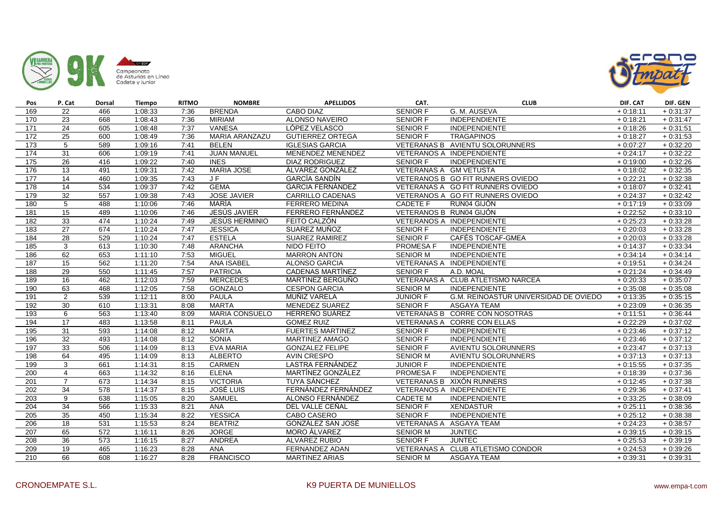



| Pos              | P. Cat          | Dorsal           | <b>Tiempo</b> | <b>RITMO</b> | <b>NOMBRE</b>         | <b>APELLIDOS</b>         | CAT.                    | <b>CLUB</b>                           | DIF. CAT   | DIF. GEN   |
|------------------|-----------------|------------------|---------------|--------------|-----------------------|--------------------------|-------------------------|---------------------------------------|------------|------------|
| 169              | 22              | 466              | 1:08:33       | 7:36         | <b>BRENDA</b>         | <b>CABO DIAZ</b>         | <b>SENIOR F</b>         | G. M. AUSEVA                          | $+0:18:11$ | $+0.31:37$ |
| 170              | 23              | 668              | 1:08:43       | 7:36         | <b>MIRIAM</b>         | ALONSO NAVEIRO           | SENIOR F                | INDEPENDIENTE                         | $+0:18:21$ | $+0.31:47$ |
| 171              | $\overline{24}$ | 605              | 1:08:48       | 7:37         | <b>VANESA</b>         | LÓPEZ VELASCO            | <b>SENIOR F</b>         | INDEPENDIENTE                         | $+0.18:26$ | $+0:31:51$ |
| 172              | 25              | 600              | 1:08:49       | 7:36         | <b>MARIA ARANZAZU</b> | <b>GUTIERREZ ORTEGA</b>  | <b>SENIOR F</b>         | <b>TRAGAPINOS</b>                     | $+0.18:27$ | $+0:31:53$ |
| 173              | 5               | 589              | 1:09:16       | 7:41         | <b>BELEN</b>          | <b>IGLESIAS GARCIA</b>   |                         | VETERANAS B AVIENTU SOLORUNNERS       | $+0.07:27$ | $+0.32:20$ |
| 174              | 31              | 606              | 1:09:19       | 7:41         | <b>JUAN MANUEL</b>    | MENENDEZ MENENDEZ        |                         | VETERANOS A INDEPENDIENTE             | $+0:24:17$ | $+0:32:22$ |
| 175              | 26              | 416              | 1:09:22       | 7:40         | <b>INES</b>           | <b>DIAZ RODRIGUEZ</b>    | <b>SENIOR F</b>         | INDEPENDIENTE                         | $+0:19:00$ | $+0:32:26$ |
| 176              | $\overline{13}$ | 491              | 1:09:31       | 7:42         | <b>MARIA JOSE</b>     | ÁLVAREZ GONZÁLEZ         | VETERANAS A GM VETUSTA  |                                       | $+0.18:02$ | $+0:32:35$ |
| 177              | 14              | 460              | 1:09:35       | 7:43         | J F                   | <b>GARCÍA SANDÍN</b>     |                         | VETERANOS B GO FIT RUNNERS OVIEDO     | $+0.22:21$ | $+0:32:38$ |
| 178              | 14              | 534              | 1:09:37       | 7:42         | <b>GEMA</b>           | <b>GARCIA FERNÁNDEZ</b>  |                         | VETERANAS A GO FIT RUNNERS OVIEDO     | $+0.18:07$ | $+0:32:41$ |
| 179              | 32              | 557              | 1:09:38       | 7:43         | <b>JOSE JAVIER</b>    | CARRILLO CADENAS         |                         | VETERANOS A GO FIT RUNNERS OVIEDO     | $+0.24:37$ | $+0:32:42$ |
| 180              | 5               | 488              | 1:10:06       | 7:46         | MARÍA                 | <b>FERRERO MEDINA</b>    | <b>CADETE F</b>         | RUN04 GIJÓN                           | $+0:17:19$ | $+0:33:09$ |
| 181              | 15              | 489              | 1:10:06       | 7:46         | <b>JESÚS JAVIER</b>   | FERRERO FERNÁNDEZ        | VETERANOS B RUN04 GIJÓN |                                       | $+0:22:52$ | $+0:33:10$ |
| 182              | 33              | 474              | 1:10:24       | 7:49         | <b>JESÚS HERMINIO</b> | FEITO CALZÓN             |                         | VETERANOS A INDEPENDIENTE             | $+0:25:23$ | $+0:33:28$ |
| 183              | $\overline{27}$ | 674              | 1:10:24       | 7:47         | <b>JESSICA</b>        | SUAREZ MUÑOZ             | <b>SENIOR F</b>         | <b>INDEPENDIENTE</b>                  | $+0.20:03$ | $+0:33:28$ |
| 184              | 28              | 529              | 1:10:24       | 7:47         | <b>ESTELA</b>         | <b>SUAREZ RAMIREZ</b>    | <b>SENIOR F</b>         | <b>CAFÉS TOSCAF-GMEA</b>              | $+0.20:03$ | $+0:33:28$ |
| 185              | 3               | 613              | 1:10:30       | 7:48         | <b>ARANCHA</b>        | NIDO FEITO               | <b>PROMESA F</b>        | <b>INDEPENDIENTE</b>                  | $+0:14:37$ | $+0:33:34$ |
| 186              | 62              | 653              | 1:11:10       | 7:53         | <b>MIGUEL</b>         | <b>MARRON ANTON</b>      | <b>SENIOR M</b>         | INDEPENDIENTE                         | $+0.34:14$ | $+0:34:14$ |
| 187              | $\overline{15}$ | 562              | 1:11:20       | 7:54         | <b>ANA ISABEL</b>     | ALONSO GARCIA            |                         | VETERANAS A INDEPENDIENTE             | $+0:19:51$ | $+0:34:24$ |
| 188              | 29              | 550              | 1:11:45       | 7:57         | <b>PATRICIA</b>       | <b>CADENAS MARTÍNEZ</b>  | <b>SENIOR F</b>         | A.D. MOAL                             | $+0:21:24$ | $+0.34:49$ |
| 189              | 16              | 462              | 1:12:03       | 7:59         | <b>MERCEDES</b>       | MARTINEZ BERGUÑO         |                         | VETERANAS A CLUB ATLETISMO NARCEA     | $+0.20.33$ | $+0.35:07$ |
| 190              | 63              | 468              | 1:12:05       | 7:58         | <b>GONZALO</b>        | <b>CESPON GARCIA</b>     | <b>SENIOR M</b>         | <b>INDEPENDIENTE</b>                  | $+0.35:08$ | $+0.35:08$ |
| 191              | $\overline{2}$  | 539              | 1:12:11       | 8:00         | <b>PAULA</b>          | MUÑIZ VARELA             | <b>JUNIOR F</b>         | G.M. REINOASTUR UNIVERSIDAD DE OVIEDO | $+0:13:35$ | $+0:35:15$ |
| 192              | 30              | 610              | 1:13:31       | 8:08         | <b>MARTA</b>          | MENEDEZ SUAREZ           | <b>SENIOR F</b>         | <b>ASGAYA TEAM</b>                    | $+0.23:09$ | $+0.36.35$ |
| 193              | 6               | 563              | 1:13:40       | 8:09         | MARIA CONSUELO        | HERREÑO SUÁREZ           |                         | VETERANAS B CORRE CON NOSOTRAS        | $+0:11:51$ | $+0.36:44$ |
| 194              | 17              | 483              | 1:13:58       | 8:11         | <b>PAULA</b>          | <b>GOMEZ RUIZ</b>        |                         | VETERANAS A CORRE CON ELLAS           | $+0.22:29$ | $+0.37:02$ |
| 195              | 31              | 593              | 1:14:08       | 8:12         | <b>MARTA</b>          | <b>FUERTES MARTINEZ</b>  | <b>SENIOR F</b>         | <b>INDEPENDIENTE</b>                  | $+0:23:46$ | $+0:37:12$ |
| 196              | 32              | 493              | 1:14:08       | 8:12         | <b>SONIA</b>          | MARTINEZ AMAGO           | <b>SENIOR F</b>         | <b>INDEPENDIENTE</b>                  | $+0.23:46$ | $+0:37:12$ |
| 197              | 33              | 506              | 1:14:09       | 8:13         | EVA MARIA             | <b>GONZALEZ FELIPE</b>   | SENIOR F                | <b>AVIENTU SOLORUNNERS</b>            | $+0.23:47$ | $+0:37:13$ |
| 198              | 64              | 495              | 1:14:09       | 8:13         | <b>ALBERTO</b>        | <b>AVIN CRESPO</b>       | <b>SENIOR M</b>         | <b>AVIENTU SOLORUNNERS</b>            | $+0:37:13$ | $+0:37:13$ |
| 199              | 3               | 661              | 1:14:31       | 8:15         | CARMEN                | <b>LASTRA FERNÁNDEZ</b>  | <b>JUNIOR F</b>         | <b>INDEPENDIENTE</b>                  | $+0.15:55$ | $+0:37:35$ |
| 200              | $\overline{4}$  | 663              | 1:14:32       | 8:16         | <b>ELENA</b>          | <b>MARTÍNEZ GONZÁLEZ</b> | <b>PROMESA F</b>        | <b>INDEPENDIENTE</b>                  | $+0.18:39$ | $+0:37:36$ |
| 201              | $\overline{7}$  | 673              | 1:14:34       | 8:15         | <b>VICTORIA</b>       | <b>TUYA SÁNCHEZ</b>      |                         | VETERANAS B XIXÓN RUNNERS             | $+0.12:45$ | $+0:37:38$ |
| 202              | 34              | $\overline{578}$ | 1:14:37       | 8:15         | <b>JOSÉ LUIS</b>      | FERNÁNDEZ FERNÁNDEZ      |                         | VETERANOS A INDEPENDIENTE             | $+0.29.36$ | $+0:37:41$ |
| 203              | 9               | 638              | 1:15:05       | 8:20         | <b>SAMUEL</b>         | ALONSO FERNÁNDEZ         | <b>CADETE M</b>         | INDEPENDIENTE                         | $+0.33:25$ | $+0:38:09$ |
| 204              | 34              | 566              | 1:15:33       | 8:21         | <b>ANA</b>            | DEL VALLE CEÑAL          | <b>SENIOR F</b>         | <b>XENDASTUR</b>                      | $+0:25:11$ | $+0.38:36$ |
| 205              | 35              | 450              | 1:15:34       | 8:22         | <b>YESSICA</b>        | CABO CASERO              | <b>SENIOR F</b>         | <b>INDEPENDIENTE</b>                  | $+0.25:12$ | $+0.38.38$ |
| 206              | 18              | 531              | 1:15:53       | 8:24         | <b>BEATRIZ</b>        | GONZÁLEZ SAN JOSÉ        |                         | VETERANAS A ASGAYA TEAM               | $+0:24:23$ | $+0:38:57$ |
| 207              | 65              | 572              | 1:16:11       | 8:26         | <b>JORGE</b>          | MORO ÁLVAREZ             | <b>SENIOR M</b>         | <b>JUNTEC</b>                         | $+0.39:15$ | $+0:39:15$ |
| 208              | $\overline{36}$ | 573              | 1:16:15       | 8:27         | <b>ANDREA</b>         | <b>ALVAREZ RUBIO</b>     | <b>SENIOR F</b>         | <b>JUNTEC</b>                         | $+0.25:53$ | $+0:39:19$ |
| $\overline{209}$ | 19              | 465              | 1:16:23       | 8:28         | <b>ANA</b>            | FERNANDEZ ADAN           |                         | VETERANAS A CLUB ATLETISMO CONDOR     | $+0.24:53$ | $+0.39:26$ |
| 210              | 66              | 608              | 1:16:27       | 8:28         | <b>FRANCISCO</b>      | <b>MARTINEZ ARIAS</b>    | <b>SENIOR M</b>         | <b>ASGAYA TEAM</b>                    | $+0.39:31$ | $+0.39.31$ |
|                  |                 |                  |               |              |                       |                          |                         |                                       |            |            |